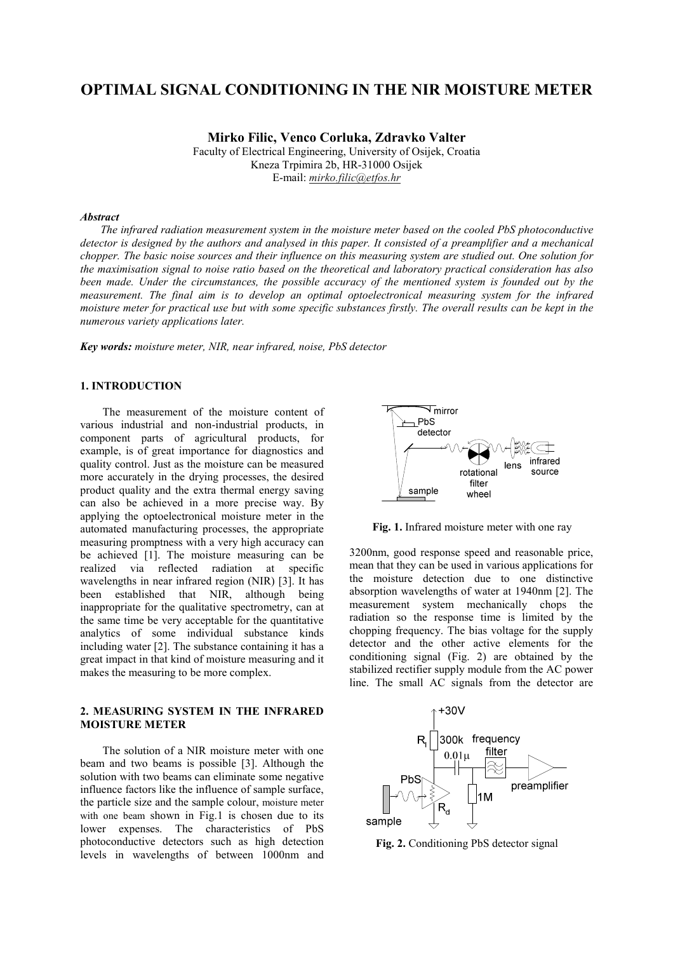# OPTIMAL SIGNAL CONDITIONING IN THE NIR MOISTURE METER

Mirko Filic, Venco Corluka, Zdravko Valter Faculty of Electrical Engineering, University of Osijek, Croatia

Kneza Trpimira 2b, HR-31000 Osijek E-mail: mirko.filic@etfos.hr

## Abstract

The infrared radiation measurement system in the moisture meter based on the cooled PbS photoconductive detector is designed by the authors and analysed in this paper. It consisted of a preamplifier and a mechanical chopper. The basic noise sources and their influence on this measuring system are studied out. One solution for the maximisation signal to noise ratio based on the theoretical and laboratory practical consideration has also been made. Under the circumstances, the possible accuracy of the mentioned system is founded out by the measurement. The final aim is to develop an optimal optoelectronical measuring system for the infrared moisture meter for practical use but with some specific substances firstly. The overall results can be kept in the numerous variety applications later.

Key words: moisture meter, NIR, near infrared, noise, PbS detector

## 1. INTRODUCTION

 The measurement of the moisture content of various industrial and non-industrial products, in component parts of agricultural products, for example, is of great importance for diagnostics and quality control. Just as the moisture can be measured more accurately in the drying processes, the desired product quality and the extra thermal energy saving can also be achieved in a more precise way. By applying the optoelectronical moisture meter in the automated manufacturing processes, the appropriate measuring promptness with a very high accuracy can be achieved [1]. The moisture measuring can be realized via reflected radiation at specific wavelengths in near infrared region (NIR) [3]. It has been established that NIR, although being inappropriate for the qualitative spectrometry, can at the same time be very acceptable for the quantitative analytics of some individual substance kinds including water [2]. The substance containing it has a great impact in that kind of moisture measuring and it makes the measuring to be more complex.

## 2. MEASURING SYSTEM IN THE INFRARED MOISTURE METER

The solution of a NIR moisture meter with one beam and two beams is possible [3]. Although the solution with two beams can eliminate some negative influence factors like the influence of sample surface, the particle size and the sample colour, moisture meter with one beam shown in Fig.1 is chosen due to its lower expenses. The characteristics of PbS photoconductive detectors such as high detection levels in wavelengths of between 1000nm and



Fig. 1. Infrared moisture meter with one ray

3200nm, good response speed and reasonable price, mean that they can be used in various applications for the moisture detection due to one distinctive absorption wavelengths of water at 1940nm [2]. The measurement system mechanically chops the radiation so the response time is limited by the chopping frequency. The bias voltage for the supply detector and the other active elements for the conditioning signal (Fig. 2) are obtained by the stabilized rectifier supply module from the AC power line. The small AC signals from the detector are



Fig. 2. Conditioning PbS detector signal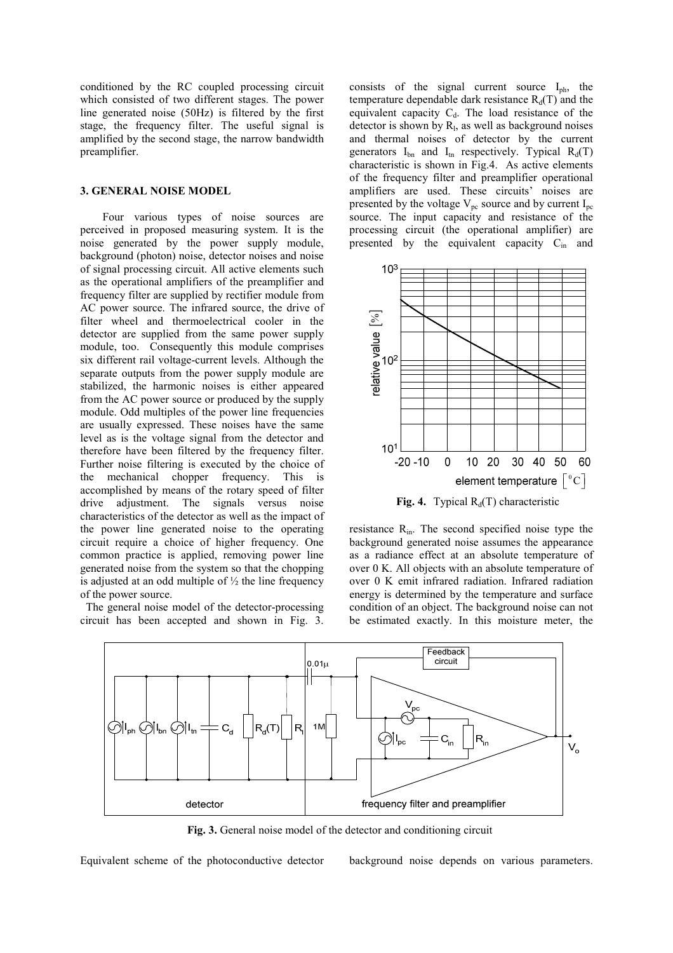conditioned by the RC coupled processing circuit which consisted of two different stages. The power line generated noise (50Hz) is filtered by the first stage, the frequency filter. The useful signal is amplified by the second stage, the narrow bandwidth preamplifier.

#### 3. GENERAL NOISE MODEL

Four various types of noise sources are perceived in proposed measuring system. It is the noise generated by the power supply module, background (photon) noise, detector noises and noise of signal processing circuit. All active elements such as the operational amplifiers of the preamplifier and frequency filter are supplied by rectifier module from AC power source. The infrared source, the drive of filter wheel and thermoelectrical cooler in the detector are supplied from the same power supply module, too. Consequently this module comprises six different rail voltage-current levels. Although the separate outputs from the power supply module are stabilized, the harmonic noises is either appeared from the AC power source or produced by the supply module. Odd multiples of the power line frequencies are usually expressed. These noises have the same level as is the voltage signal from the detector and therefore have been filtered by the frequency filter. Further noise filtering is executed by the choice of the mechanical chopper frequency. This is accomplished by means of the rotary speed of filter drive adjustment. The signals versus noise characteristics of the detector as well as the impact of the power line generated noise to the operating circuit require a choice of higher frequency. One common practice is applied, removing power line generated noise from the system so that the chopping is adjusted at an odd multiple of  $\frac{1}{2}$  the line frequency of the power source.

 The general noise model of the detector-processing circuit has been accepted and shown in Fig. 3.

consists of the signal current source  $I_{ph}$ , the temperature dependable dark resistance  $R_d(T)$  and the equivalent capacity  $C_d$ . The load resistance of the detector is shown by  $R<sub>l</sub>$ , as well as background noises and thermal noises of detector by the current generators  $I_{bn}$  and  $I_{tn}$  respectively. Typical  $R_d(T)$ characteristic is shown in Fig.4. As active elements of the frequency filter and preamplifier operational amplifiers are used. These circuits' noises are presented by the voltage  $V_{pc}$  source and by current  $I_{pc}$ source. The input capacity and resistance of the processing circuit (the operational amplifier) are presented by the equivalent capacity  $C_{in}$  and



Fig. 4. Typical  $R_d(T)$  characteristic

resistance  $R_{in}$ . The second specified noise type the background generated noise assumes the appearance as a radiance effect at an absolute temperature of over 0 K. All objects with an absolute temperature of over 0 K emit infrared radiation. Infrared radiation energy is determined by the temperature and surface condition of an object. The background noise can not be estimated exactly. In this moisture meter, the



Fig. 3. General noise model of the detector and conditioning circuit

Equivalent scheme of the photoconductive detector

background noise depends on various parameters.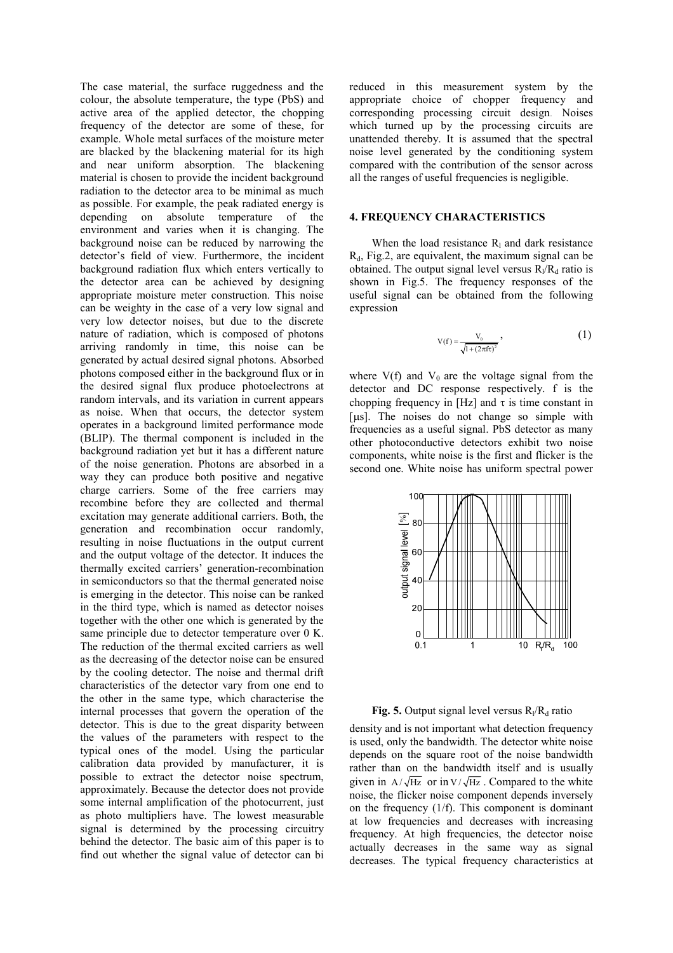The case material, the surface ruggedness and the colour, the absolute temperature, the type (PbS) and active area of the applied detector, the chopping frequency of the detector are some of these, for example. Whole metal surfaces of the moisture meter are blacked by the blackening material for its high and near uniform absorption. The blackening material is chosen to provide the incident background radiation to the detector area to be minimal as much as possible. For example, the peak radiated energy is depending on absolute temperature of the environment and varies when it is changing. The background noise can be reduced by narrowing the detector's field of view. Furthermore, the incident background radiation flux which enters vertically to the detector area can be achieved by designing appropriate moisture meter construction. This noise can be weighty in the case of a very low signal and very low detector noises, but due to the discrete nature of radiation, which is composed of photons arriving randomly in time, this noise can be generated by actual desired signal photons. Absorbed photons composed either in the background flux or in the desired signal flux produce photoelectrons at random intervals, and its variation in current appears as noise. When that occurs, the detector system operates in a background limited performance mode (BLIP). The thermal component is included in the background radiation yet but it has a different nature of the noise generation. Photons are absorbed in a way they can produce both positive and negative charge carriers. Some of the free carriers may recombine before they are collected and thermal excitation may generate additional carriers. Both, the generation and recombination occur randomly, resulting in noise fluctuations in the output current and the output voltage of the detector. It induces the thermally excited carriers' generation-recombination in semiconductors so that the thermal generated noise is emerging in the detector. This noise can be ranked in the third type, which is named as detector noises together with the other one which is generated by the same principle due to detector temperature over 0 K. The reduction of the thermal excited carriers as well as the decreasing of the detector noise can be ensured by the cooling detector. The noise and thermal drift characteristics of the detector vary from one end to the other in the same type, which characterise the internal processes that govern the operation of the detector. This is due to the great disparity between the values of the parameters with respect to the typical ones of the model. Using the particular calibration data provided by manufacturer, it is possible to extract the detector noise spectrum, approximately. Because the detector does not provide some internal amplification of the photocurrent, just as photo multipliers have. The lowest measurable signal is determined by the processing circuitry behind the detector. The basic aim of this paper is to find out whether the signal value of detector can bi

reduced in this measurement system by the appropriate choice of chopper frequency and corresponding processing circuit design. Noises which turned up by the processing circuits are unattended thereby. It is assumed that the spectral noise level generated by the conditioning system compared with the contribution of the sensor across all the ranges of useful frequencies is negligible.

## 4. FREQUENCY CHARACTERISTICS

When the load resistance  $R_1$  and dark resistance  $R<sub>d</sub>$ , Fig.2, are equivalent, the maximum signal can be obtained. The output signal level versus  $R_1/R_d$  ratio is shown in Fig.5. The frequency responses of the useful signal can be obtained from the following expression

$$
V(f) = \frac{V_0}{\sqrt{1 + (2\pi f \tau)^2}},
$$
\n(1)

where  $V(f)$  and  $V_0$  are the voltage signal from the detector and DC response respectively. f is the chopping frequency in [Hz] and  $\tau$  is time constant in [us]. The noises do not change so simple with frequencies as a useful signal. PbS detector as many other photoconductive detectors exhibit two noise components, white noise is the first and flicker is the second one. White noise has uniform spectral power



**Fig. 5.** Output signal level versus  $R_1/R_d$  ratio

density and is not important what detection frequency is used, only the bandwidth. The detector white noise depends on the square root of the noise bandwidth rather than on the bandwidth itself and is usually given in  $A/\sqrt{Hz}$  or in  $V/\sqrt{Hz}$ . Compared to the white noise, the flicker noise component depends inversely on the frequency (1/f). This component is dominant at low frequencies and decreases with increasing frequency. At high frequencies, the detector noise actually decreases in the same way as signal decreases. The typical frequency characteristics at